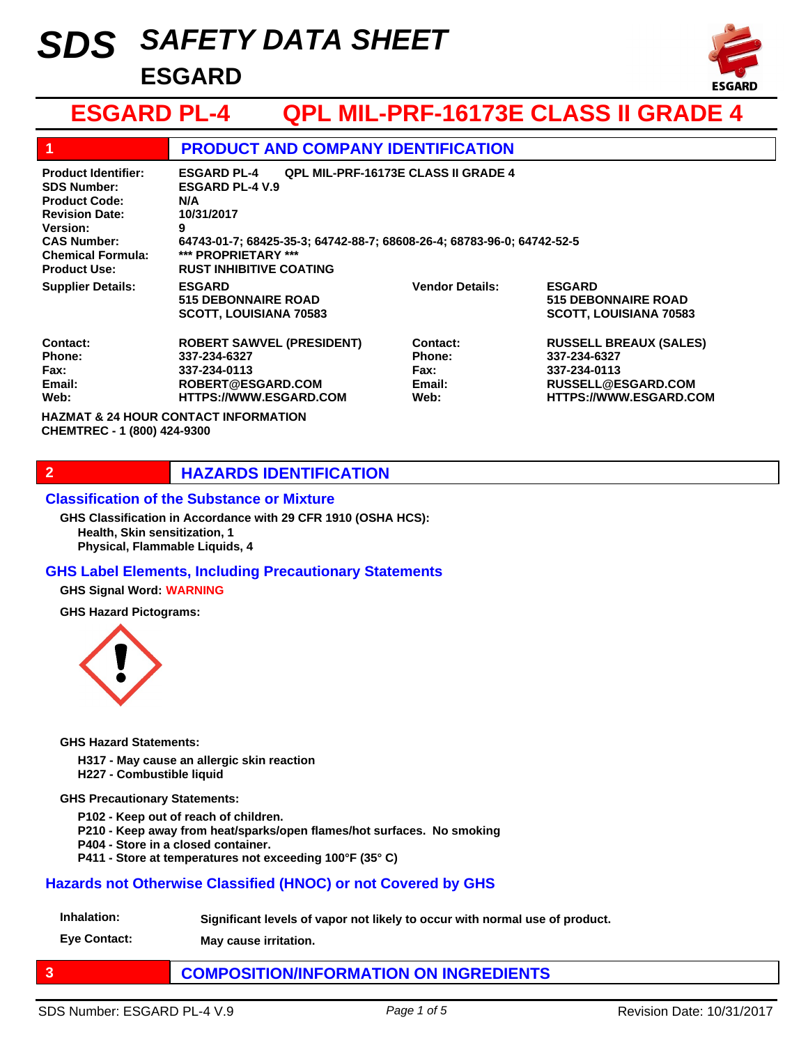# *SAFETY DATA SHEET SDS* **ESGARD**



## **ESGARD PL-4 QPL MIL-PRF-16173E CLASS II GRADE 4**

|                                                                                                                                                                                               | <b>PRODUCT AND COMPANY IDENTIFICATION</b>                                                                                                                                                                                                               |                                              |                                                                                                                      |
|-----------------------------------------------------------------------------------------------------------------------------------------------------------------------------------------------|---------------------------------------------------------------------------------------------------------------------------------------------------------------------------------------------------------------------------------------------------------|----------------------------------------------|----------------------------------------------------------------------------------------------------------------------|
| <b>Product Identifier:</b><br><b>SDS Number:</b><br><b>Product Code:</b><br><b>Revision Date:</b><br><b>Version:</b><br><b>CAS Number:</b><br><b>Chemical Formula:</b><br><b>Product Use:</b> | <b>QPL MIL-PRF-16173E CLASS II GRADE 4</b><br><b>ESGARD PL-4</b><br><b>ESGARD PL-4 V.9</b><br>N/A<br>10/31/2017<br>9<br>64743-01-7; 68425-35-3; 64742-88-7; 68608-26-4; 68783-96-0; 64742-52-5<br>*** PROPRIETARY ***<br><b>RUST INHIBITIVE COATING</b> |                                              |                                                                                                                      |
| <b>Supplier Details:</b>                                                                                                                                                                      | <b>ESGARD</b><br><b>515 DEBONNAIRE ROAD</b><br><b>SCOTT, LOUISIANA 70583</b>                                                                                                                                                                            | <b>Vendor Details:</b>                       | <b>ESGARD</b><br><b>515 DEBONNAIRE ROAD</b><br><b>SCOTT, LOUISIANA 70583</b>                                         |
| Contact:<br>Phone:<br>Fax:<br>Email:<br>Web:                                                                                                                                                  | <b>ROBERT SAWVEL (PRESIDENT)</b><br>337-234-6327<br>337-234-0113<br>ROBERT@ESGARD.COM<br><b>HTTPS://WWW.ESGARD.COM</b>                                                                                                                                  | Contact:<br>Phone:<br>Fax:<br>Email:<br>Web: | <b>RUSSELL BREAUX (SALES)</b><br>337-234-6327<br>337-234-0113<br>RUSSELL@ESGARD.COM<br><b>HTTPS://WWW.ESGARD.COM</b> |
| CHEMTREC - 1 (800) 424-9300                                                                                                                                                                   | <b>HAZMAT &amp; 24 HOUR CONTACT INFORMATION</b>                                                                                                                                                                                                         |                                              |                                                                                                                      |

### **2 HAZARDS IDENTIFICATION**

### **Classification of the Substance or Mixture**

**Health, Skin sensitization, 1 Physical, Flammable Liquids, 4 GHS Classification in Accordance with 29 CFR 1910 (OSHA HCS):**

### **GHS Label Elements, Including Precautionary Statements**

**GHS Signal Word: WARNING**

**GHS Hazard Pictograms:**



**GHS Hazard Statements:**

**H317 - May cause an allergic skin reaction**

**H227 - Combustible liquid**

**GHS Precautionary Statements:**

**P102 - Keep out of reach of children.**

**P210 - Keep away from heat/sparks/open flames/hot surfaces. No smoking**

**P404 - Store in a closed container.**

**P411 - Store at temperatures not exceeding 100°F (35° C)** 

### **Hazards not Otherwise Classified (HNOC) or not Covered by GHS**

**Inhalation: Significant levels of vapor not likely to occur with normal use of product.**

**Eye Contact: May cause irritation.**

### **3 COMPOSITION/INFORMATION ON INGREDIENTS**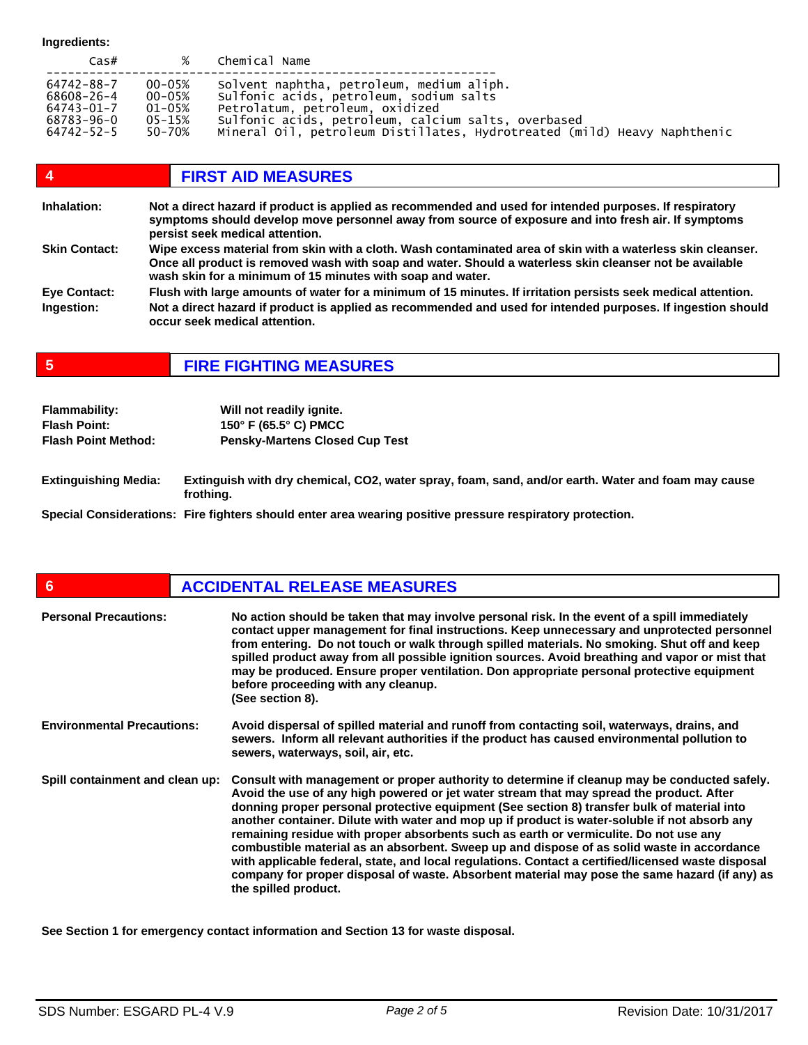**Ingredients:**

| $\textsf{Cas}\#$ | %          | Chemical Name                                                            |
|------------------|------------|--------------------------------------------------------------------------|
| 64742-88-7       | $00 - 05%$ | Solvent naphtha, petroleum, medium aliph.                                |
| 68608-26-4       | $00 - 05%$ | sulfonic acids, petroleum, sodium salts                                  |
| 64743-01-7       | 01-05%     | Petrolatum, petroleum, oxidized                                          |
| 68783-96-0       | 05-15%     | Sulfonic acids, petroleum, calcium salts, overbased                      |
| 64742-52-5       | 50-70%     | Mineral Oil, petroleum Distillates, Hydrotreated (mild) Heavy Naphthenic |

| $\boldsymbol{4}$     | <b>FIRST AID MEASURES</b>                                                                                                                                                                                                                                                            |
|----------------------|--------------------------------------------------------------------------------------------------------------------------------------------------------------------------------------------------------------------------------------------------------------------------------------|
| Inhalation:          | Not a direct hazard if product is applied as recommended and used for intended purposes. If respiratory<br>symptoms should develop move personnel away from source of exposure and into fresh air. If symptoms<br>persist seek medical attention.                                    |
| <b>Skin Contact:</b> | Wipe excess material from skin with a cloth. Wash contaminated area of skin with a waterless skin cleanser.<br>Once all product is removed wash with soap and water. Should a waterless skin cleanser not be available<br>wash skin for a minimum of 15 minutes with soap and water. |
| <b>Eve Contact:</b>  | Flush with large amounts of water for a minimum of 15 minutes. If irritation persists seek medical attention.                                                                                                                                                                        |
| Ingestion:           | Not a direct hazard if product is applied as recommended and used for intended purposes. If ingestion should<br>occur seek medical attention.                                                                                                                                        |

**5 FIRE FIGHTING MEASURES**

| <b>Flammability:</b>       | Will not readily ignite.              |
|----------------------------|---------------------------------------|
| <b>Flash Point:</b>        | 150° F (65.5° C) PMCC                 |
| <b>Flash Point Method:</b> | <b>Pensky-Martens Closed Cup Test</b> |
|                            |                                       |

**Extinguishing Media: Extinguish with dry chemical, CO2, water spray, foam, sand, and/or earth. Water and foam may cause frothing.** 

**Special Considerations: Fire fighters should enter area wearing positive pressure respiratory protection.**

| $6\phantom{1}6$                   | <b>ACCIDENTAL RELEASE MEASURES</b>                                                                                                                                                                                                                                                                                                                                                                                                                                                                                                                                                                                                                                                                                                                                                                             |
|-----------------------------------|----------------------------------------------------------------------------------------------------------------------------------------------------------------------------------------------------------------------------------------------------------------------------------------------------------------------------------------------------------------------------------------------------------------------------------------------------------------------------------------------------------------------------------------------------------------------------------------------------------------------------------------------------------------------------------------------------------------------------------------------------------------------------------------------------------------|
| <b>Personal Precautions:</b>      | No action should be taken that may involve personal risk. In the event of a spill immediately<br>contact upper management for final instructions. Keep unnecessary and unprotected personnel<br>from entering. Do not touch or walk through spilled materials. No smoking. Shut off and keep<br>spilled product away from all possible ignition sources. Avoid breathing and vapor or mist that<br>may be produced. Ensure proper ventilation. Don appropriate personal protective equipment<br>before proceeding with any cleanup.<br>(See section 8).                                                                                                                                                                                                                                                        |
| <b>Environmental Precautions:</b> | Avoid dispersal of spilled material and runoff from contacting soil, waterways, drains, and<br>sewers. Inform all relevant authorities if the product has caused environmental pollution to<br>sewers, waterways, soil, air, etc.                                                                                                                                                                                                                                                                                                                                                                                                                                                                                                                                                                              |
| Spill containment and clean up:   | Consult with management or proper authority to determine if cleanup may be conducted safely.<br>Avoid the use of any high powered or jet water stream that may spread the product. After<br>donning proper personal protective equipment (See section 8) transfer bulk of material into<br>another container. Dilute with water and mop up if product is water-soluble if not absorb any<br>remaining residue with proper absorbents such as earth or vermiculite. Do not use any<br>combustible material as an absorbent. Sweep up and dispose of as solid waste in accordance<br>with applicable federal, state, and local regulations. Contact a certified/licensed waste disposal<br>company for proper disposal of waste. Absorbent material may pose the same hazard (if any) as<br>the spilled product. |

**See Section 1 for emergency contact information and Section 13 for waste disposal.**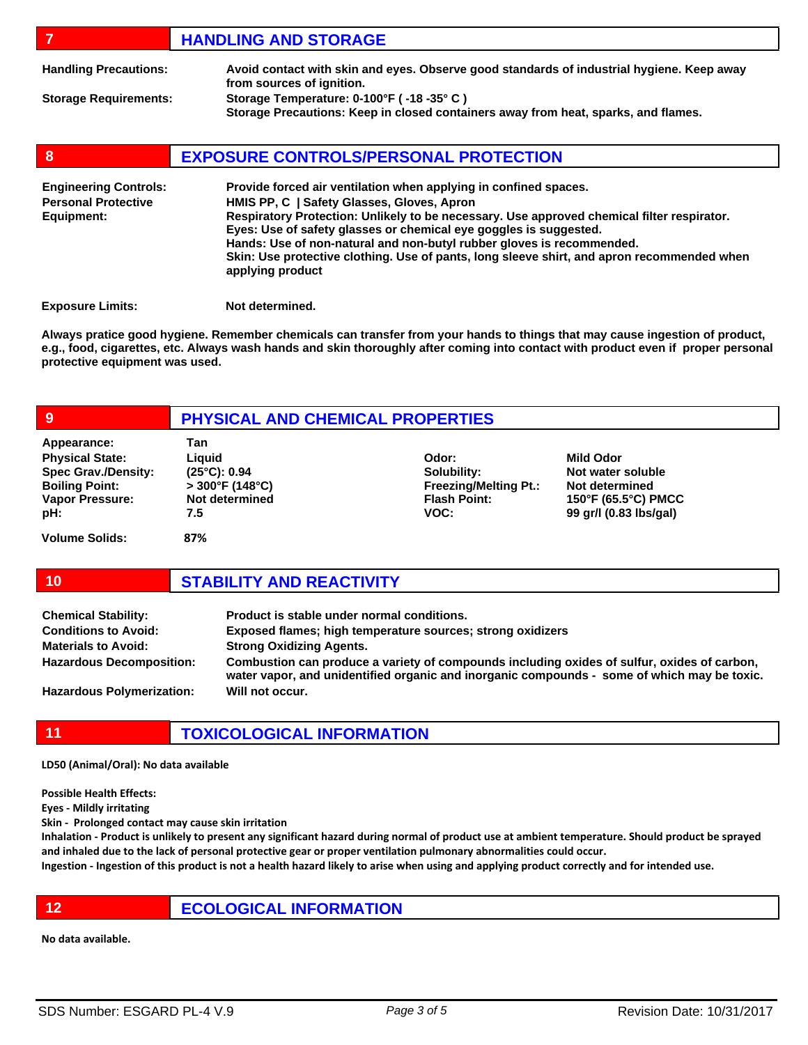|                                                                          | <b>HANDLING AND STORAGE</b>                                                                                                                                                                                                                                                                                                                                                                                                                                                  |
|--------------------------------------------------------------------------|------------------------------------------------------------------------------------------------------------------------------------------------------------------------------------------------------------------------------------------------------------------------------------------------------------------------------------------------------------------------------------------------------------------------------------------------------------------------------|
| <b>Handling Precautions:</b>                                             | Avoid contact with skin and eyes. Observe good standards of industrial hygiene. Keep away<br>from sources of ignition.                                                                                                                                                                                                                                                                                                                                                       |
| <b>Storage Requirements:</b>                                             | Storage Temperature: 0-100°F (-18 -35°C)<br>Storage Precautions: Keep in closed containers away from heat, sparks, and flames.                                                                                                                                                                                                                                                                                                                                               |
| 8                                                                        | <b>EXPOSURE CONTROLS/PERSONAL PROTECTION</b>                                                                                                                                                                                                                                                                                                                                                                                                                                 |
| <b>Engineering Controls:</b><br><b>Personal Protective</b><br>Equipment: | Provide forced air ventilation when applying in confined spaces.<br>HMIS PP, C   Safety Glasses, Gloves, Apron<br>Respiratory Protection: Unlikely to be necessary. Use approved chemical filter respirator.<br>Eyes: Use of safety glasses or chemical eye goggles is suggested.<br>Hands: Use of non-natural and non-butyl rubber gloves is recommended.<br>Skin: Use protective clothing. Use of pants, long sleeve shirt, and apron recommended when<br>applying product |

**Exposure Limits:** Not determined.

**Always pratice good hygiene. Remember chemicals can transfer from your hands to things that may cause ingestion of product, e.g., food, cigarettes, etc. Always wash hands and skin thoroughly after coming into contact with product even if proper personal protective equipment was used.** 

| 9                                                                                                                             | PHYSICAL AND CHEMICAL PROPERTIES                                                            |                                                                                     |                                                                                                          |
|-------------------------------------------------------------------------------------------------------------------------------|---------------------------------------------------------------------------------------------|-------------------------------------------------------------------------------------|----------------------------------------------------------------------------------------------------------|
| Appearance:<br><b>Physical State:</b><br><b>Spec Grav./Density:</b><br><b>Boiling Point:</b><br><b>Vapor Pressure:</b><br>pH: | Tan<br>Liguid<br>$(25^{\circ}C): 0.94$<br>$>300^{\circ}$ F (148°C)<br>Not determined<br>7.5 | Odor:<br>Solubility:<br><b>Freezing/Melting Pt.:</b><br><b>Flash Point:</b><br>VOC: | <b>Mild Odor</b><br>Not water soluble<br>Not determined<br>150°F (65.5°C) PMCC<br>99 gr/l (0.83 lbs/gal) |
| <b>Volume Solids:</b>                                                                                                         | 87%                                                                                         |                                                                                     |                                                                                                          |

| <b>Chemical Stability:</b>       | Product is stable under normal conditions.                                                                                                                                                 |
|----------------------------------|--------------------------------------------------------------------------------------------------------------------------------------------------------------------------------------------|
| <b>Conditions to Avoid:</b>      | Exposed flames; high temperature sources; strong oxidizers                                                                                                                                 |
| <b>Materials to Avoid:</b>       | <b>Strong Oxidizing Agents.</b>                                                                                                                                                            |
| <b>Hazardous Decomposition:</b>  | Combustion can produce a variety of compounds including oxides of sulfur, oxides of carbon,<br>water vapor, and unidentified organic and inorganic compounds - some of which may be toxic. |
| <b>Hazardous Polymerization:</b> | Will not occur.                                                                                                                                                                            |

**11 TOXICOLOGICAL INFORMATION**

LD50 (Animal/Oral): No data available

Possible Health Effects:

Eyes - Mildly irritating

Skin - Prolonged contact may cause skin irritation

**10 STABILITY AND REACTIVITY**

Inhalation - Product is unlikely to present any significant hazard during normal of product use at ambient temperature. Should product be sprayed and inhaled due to the lack of personal protective gear or proper ventilation pulmonary abnormalities could occur.

Ingestion - Ingestion of this product is not a health hazard likely to arise when using and applying product correctly and for intended use.

**12 ECOLOGICAL INFORMATION** 

No data available.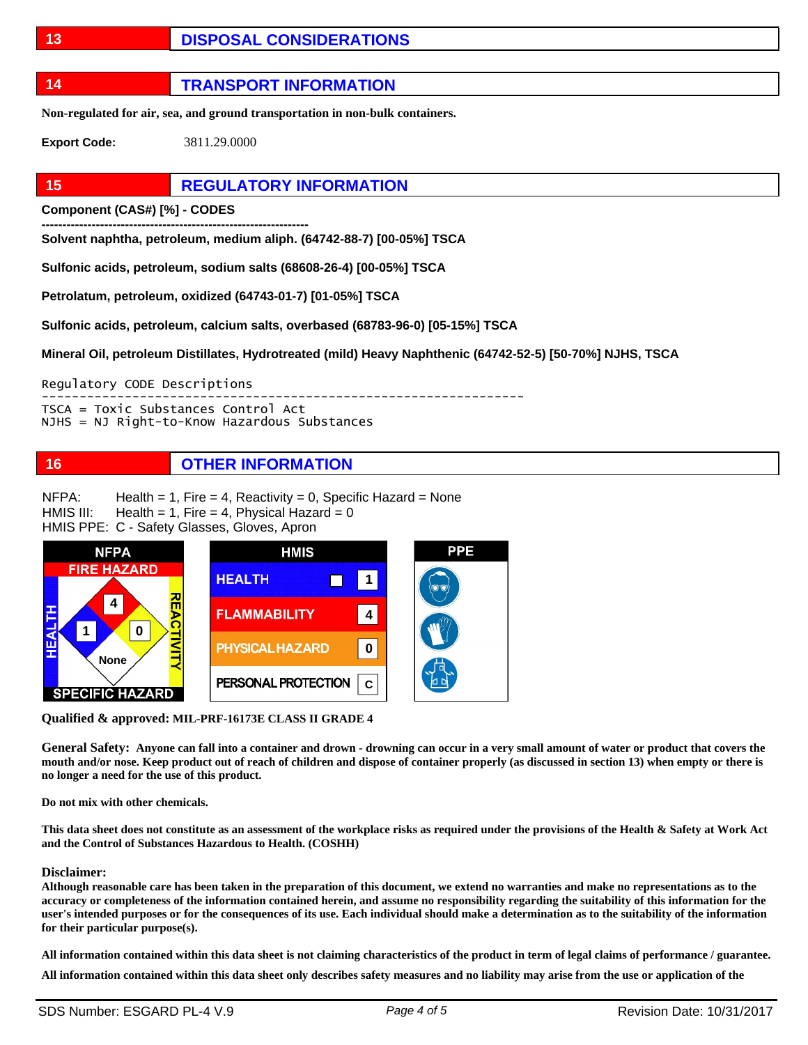### **13 DISPOSAL CONSIDERATIONS**

**14 TRANSPORT INFORMATION**

**Non-regulated for air, sea, and ground transportation in non-bulk containers.** 

**Export Code:** 3811.29.0000

### **15 REGULATORY INFORMATION**

**Component (CAS#) [%] - CODES ----------------------------------------------------------------** 

**Solvent naphtha, petroleum, medium aliph. (64742-88-7) [00-05%] TSCA** 

**Sulfonic acids, petroleum, sodium salts (68608-26-4) [00-05%] TSCA** 

**Petrolatum, petroleum, oxidized (64743-01-7) [01-05%] TSCA** 

**Sulfonic acids, petroleum, calcium salts, overbased (68783-96-0) [05-15%] TSCA** 

**Mineral Oil, petroleum Distillates, Hydrotreated (mild) Heavy Naphthenic (64742-52-5) [50-70%] NJHS, TSCA** 

Regulatory CODE Descriptions

---------------------------------------------------------------- TSCA = Toxic Substances Control Act

NJHS = NJ Right-to-Know Hazardous Substances

### **16 OTHER INFORMATION**

Health = 1, Fire = 4, Reactivity = 0, Specific Hazard = None NFPA:

Health = 1, Fire = 4, Physical Hazard =  $0$ HMIS III:

HMIS PPE: C - Safety Glasses, Gloves, Apron



**Qualified & approved: MIL-PRF-16173E CLASS II GRADE 4** 

**General Safety: Anyone can fall into a container and drown - drowning can occur in a very small amount of water or product that covers the mouth and/or nose. Keep product out of reach of children and dispose of container properly (as discussed in section 13) when empty or there is no longer a need for the use of this product.** 

**Do not mix with other chemicals.** 

**This data sheet does not constitute as an assessment of the workplace risks as required under the provisions of the Health & Safety at Work Act and the Control of Substances Hazardous to Health. (COSHH)** 

### **Disclaimer:**

**Although reasonable care has been taken in the preparation of this document, we extend no warranties and make no representations as to the accuracy or completeness of the information contained herein, and assume no responsibility regarding the suitability of this information for the user's intended purposes or for the consequences of its use. Each individual should make a determination as to the suitability of the information for their particular purpose(s).** 

**All information contained within this data sheet is not claiming characteristics of the product in term of legal claims of performance / guarantee. All information contained within this data sheet only describes safety measures and no liability may arise from the use or application of the**